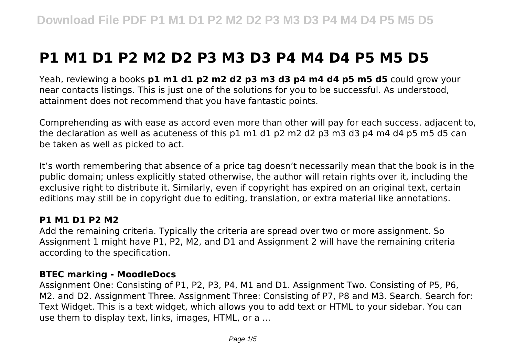# **P1 M1 D1 P2 M2 D2 P3 M3 D3 P4 M4 D4 P5 M5 D5**

Yeah, reviewing a books **p1 m1 d1 p2 m2 d2 p3 m3 d3 p4 m4 d4 p5 m5 d5** could grow your near contacts listings. This is just one of the solutions for you to be successful. As understood, attainment does not recommend that you have fantastic points.

Comprehending as with ease as accord even more than other will pay for each success. adjacent to, the declaration as well as acuteness of this p1 m1 d1 p2 m2 d2 p3 m3 d3 p4 m4 d4 p5 m5 d5 can be taken as well as picked to act.

It's worth remembering that absence of a price tag doesn't necessarily mean that the book is in the public domain; unless explicitly stated otherwise, the author will retain rights over it, including the exclusive right to distribute it. Similarly, even if copyright has expired on an original text, certain editions may still be in copyright due to editing, translation, or extra material like annotations.

#### **P1 M1 D1 P2 M2**

Add the remaining criteria. Typically the criteria are spread over two or more assignment. So Assignment 1 might have P1, P2, M2, and D1 and Assignment 2 will have the remaining criteria according to the specification.

#### **BTEC marking - MoodleDocs**

Assignment One: Consisting of P1, P2, P3, P4, M1 and D1. Assignment Two. Consisting of P5, P6, M2. and D2. Assignment Three. Assignment Three: Consisting of P7, P8 and M3. Search. Search for: Text Widget. This is a text widget, which allows you to add text or HTML to your sidebar. You can use them to display text, links, images, HTML, or a ...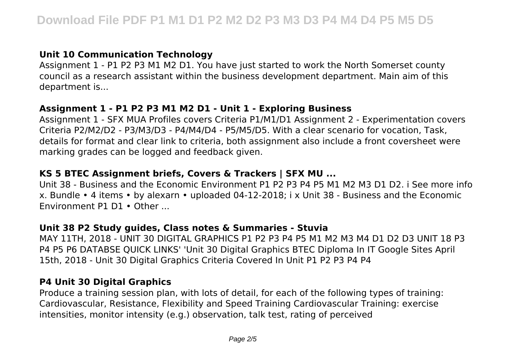# **Unit 10 Communication Technology**

Assignment 1 - P1 P2 P3 M1 M2 D1. You have just started to work the North Somerset county council as a research assistant within the business development department. Main aim of this department is...

### **Assignment 1 - P1 P2 P3 M1 M2 D1 - Unit 1 - Exploring Business**

Assignment 1 - SFX MUA Profiles covers Criteria P1/M1/D1 Assignment 2 - Experimentation covers Criteria P2/M2/D2 - P3/M3/D3 - P4/M4/D4 - P5/M5/D5. With a clear scenario for vocation, Task, details for format and clear link to criteria, both assignment also include a front coversheet were marking grades can be logged and feedback given.

# **KS 5 BTEC Assignment briefs, Covers & Trackers | SFX MU ...**

Unit 38 - Business and the Economic Environment P1 P2 P3 P4 P5 M1 M2 M3 D1 D2. i See more info x. Bundle • 4 items • by alexarn • uploaded 04-12-2018; i x Unit 38 - Business and the Economic Environment P1 D1 • Other ...

#### **Unit 38 P2 Study guides, Class notes & Summaries - Stuvia**

MAY 11TH, 2018 - UNIT 30 DIGITAL GRAPHICS P1 P2 P3 P4 P5 M1 M2 M3 M4 D1 D2 D3 UNIT 18 P3 P4 P5 P6 DATABSE QUICK LINKS' 'Unit 30 Digital Graphics BTEC Diploma In IT Google Sites April 15th, 2018 - Unit 30 Digital Graphics Criteria Covered In Unit P1 P2 P3 P4 P4

#### **P4 Unit 30 Digital Graphics**

Produce a training session plan, with lots of detail, for each of the following types of training: Cardiovascular, Resistance, Flexibility and Speed Training Cardiovascular Training: exercise intensities, monitor intensity (e.g.) observation, talk test, rating of perceived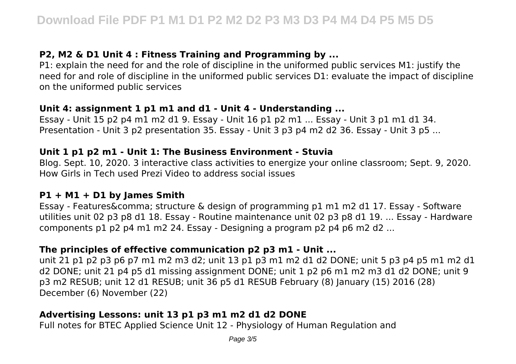# **P2, M2 & D1 Unit 4 : Fitness Training and Programming by ...**

P1: explain the need for and the role of discipline in the uniformed public services M1: justify the need for and role of discipline in the uniformed public services D1: evaluate the impact of discipline on the uniformed public services

#### **Unit 4: assignment 1 p1 m1 and d1 - Unit 4 - Understanding ...**

Essay - Unit 15 p2 p4 m1 m2 d1 9. Essay - Unit 16 p1 p2 m1 ... Essay - Unit 3 p1 m1 d1 34. Presentation - Unit 3 p2 presentation 35. Essay - Unit 3 p3 p4 m2 d2 36. Essay - Unit 3 p5 ...

#### **Unit 1 p1 p2 m1 - Unit 1: The Business Environment - Stuvia**

Blog. Sept. 10, 2020. 3 interactive class activities to energize your online classroom; Sept. 9, 2020. How Girls in Tech used Prezi Video to address social issues

#### **P1 + M1 + D1 by James Smith**

Essay - Features&comma: structure & design of programming p1 m1 m2 d1 17. Essay - Software utilities unit 02 p3 p8 d1 18. Essay - Routine maintenance unit 02 p3 p8 d1 19. ... Essay - Hardware components p1 p2 p4 m1 m2 24. Essay - Designing a program p2 p4 p6 m2 d2 ...

# **The principles of effective communication p2 p3 m1 - Unit ...**

unit 21 p1 p2 p3 p6 p7 m1 m2 m3 d2; unit 13 p1 p3 m1 m2 d1 d2 DONE; unit 5 p3 p4 p5 m1 m2 d1 d2 DONE; unit 21 p4 p5 d1 missing assignment DONE; unit 1 p2 p6 m1 m2 m3 d1 d2 DONE; unit 9 p3 m2 RESUB; unit 12 d1 RESUB; unit 36 p5 d1 RESUB February (8) January (15) 2016 (28) December (6) November (22)

# **Advertising Lessons: unit 13 p1 p3 m1 m2 d1 d2 DONE**

Full notes for BTEC Applied Science Unit 12 - Physiology of Human Regulation and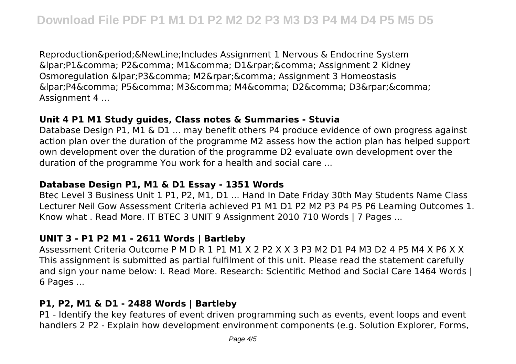Reproduction. & New Line; Includes Assignment 1 Nervous & Endocrine System  $\&$ lpar;P1 $\&$ comma; P2 $\&$ comma; M1 $\&$ comma; D1 $\&$ rpar; $\&$ comma; Assignment 2 Kidney Osmoregulation (P3, M2), Assignment 3 Homeostasis  $\&$ lpar:P4&comma: P5&comma: M3&comma: M4&comma: D2&comma: D3&rpar:&comma: Assignment 4 ...

#### **Unit 4 P1 M1 Study guides, Class notes & Summaries - Stuvia**

Database Design P1, M1 & D1 ... may benefit others P4 produce evidence of own progress against action plan over the duration of the programme M2 assess how the action plan has helped support own development over the duration of the programme D2 evaluate own development over the duration of the programme You work for a health and social care ...

# **Database Design P1, M1 & D1 Essay - 1351 Words**

Btec Level 3 Business Unit 1 P1, P2, M1, D1 ... Hand In Date Friday 30th May Students Name Class Lecturer Neil Gow Assessment Criteria achieved P1 M1 D1 P2 M2 P3 P4 P5 P6 Learning Outcomes 1. Know what . Read More. IT BTEC 3 UNIT 9 Assignment 2010 710 Words | 7 Pages ...

# **UNIT 3 - P1 P2 M1 - 2611 Words | Bartleby**

Assessment Criteria Outcome P M D R 1 P1 M1 X 2 P2 X X 3 P3 M2 D1 P4 M3 D2 4 P5 M4 X P6 X X This assignment is submitted as partial fulfilment of this unit. Please read the statement carefully and sign your name below: I. Read More. Research: Scientific Method and Social Care 1464 Words | 6 Pages ...

# **P1, P2, M1 & D1 - 2488 Words | Bartleby**

P1 - Identify the key features of event driven programming such as events, event loops and event handlers 2 P2 - Explain how development environment components (e.g. Solution Explorer, Forms,